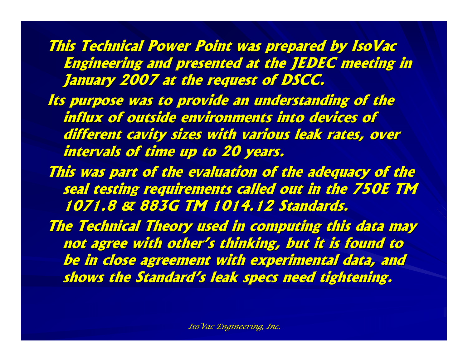**This Technical Power Point was prepared by IsoVac Engineering and presented at the JEDEC meeting in January 2007 at the request of DSCC. January 2007 at the request of DSCC.**

Its purpose was to provide an understanding of the influx of outside environments into devices of different cavity sizes with various leak rates, over **intervals of time up to 20 years. intervals of time up to 20 years.**

This was part of the evaluation of the adequacy of the **seal testing requirements called out in the 750E TM 1071.8 & 883G TM 1014.12 Standard 1071.8 & 883G TM 1014.12 Standards.**

**The Technical Theory used in computing this data may The Technical Theory used in computing this data may not agree with other's thinking, but it is found to not agree with other's thinking, but it is found to be in close agreement with experimental data, and be in close agreement with experimental data, and shows the Standard's leak specs need tightening. shows the Standard's leak specs need tightening.**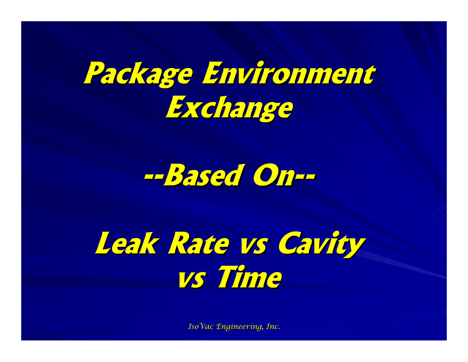# **Package Environment Package Environment Exchange Exchange**



# **Leak Rate Leak Rate vs Cavity vs Time**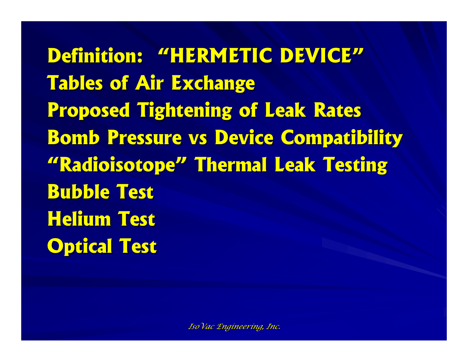**Definition: "HERMETIC DEVICE" Definition: "HERMETIC DEVICE"Tables of Air Exchange Tables of Air Exchange Proposed Tightening of Leak Rates Proposed Tightening of Leak Rates Bomb Pressure vs Device Compatibility "Radioisotope" Thermal Leak Testing "Radioisotope" Thermal Leak Testing Bubble Test Bubble TestHelium Test Helium TestOptical Test Optical Test**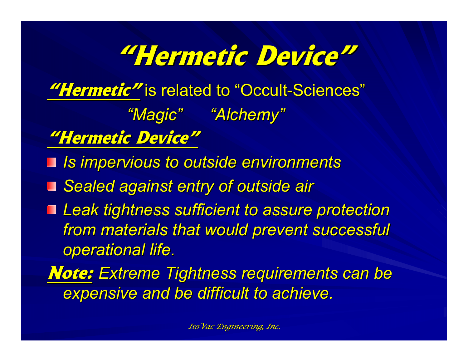# **"Hermetic Device" Hermetic Device"**

"Hermetic" is related to "Occult-Sciences"

*"Magic" "Alchemy" "Magic" "Alchemy"*

**"Hermetic Device" "Hermetic Device"**

*Is impervious to outside environments Is impervious to outside environments*

■ Sealed against entry of outside air

■ Leak tightness sufficient to assure protection *from materials that would prevent successful from materials that would prevent successful operational life. operational life.*

*Note: Extreme Tightness requirements can be* **expensive and be difficult to achieve.**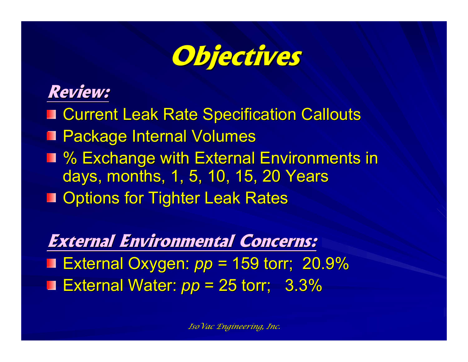

### **Review: Review:**

- Current Leak Rate Specification Callouts
- Package Internal Volumes
- % Exchange with External Environments in days, months, 1, 5, 10, 15, 20 Years
- Options for Tighter Leak Rates

**External Environmental Concerns: External Environmental Concerns:** ■ External Oxygen: *pp* = 159 torr; 20.9% **External Water:**  $pp = 25$  **torr; 3.3%**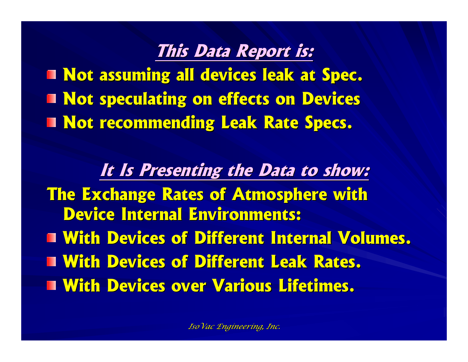#### **This Data Report is: This Data Report is:**

**Not assuming all devices leak at Spec. Not assuming all devices leak at Spec. Not speculating on effects on Devices Not speculating on effects on Devices Not recommending Leak Rate Specs. Not recommending Leak Rate Specs.**

**It Is Presenting the Data to show: It Is Presenting the Data to show: The Exchange Rates of Atmosphere with Device Internal Environments: Device Internal Environments:T With Devices of Different Internal Volumes. With Devices of Different Leak Rates. With Devices of Different Leak Rates.With Devices over Various Lifetimes.**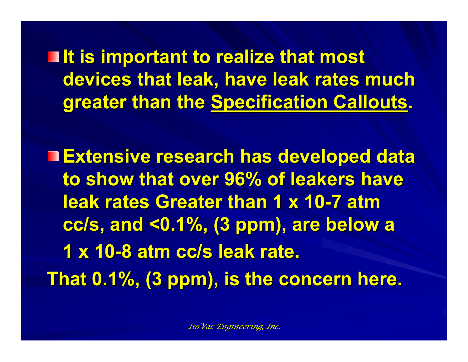**If is important to realize that most** devices that leak, have leak rates much **greater than the Specification Callouts.** 

**Extensive research has developed data Extensive research has developed data to show that over 96% of leakers have to show that over 96% of leakers have leak rates Greater than 1 x 10 leak rates Greater than 1 x 10-7 atm**  cc/s, and <0.1%, (3 ppm), are below a 1 x 10-8 atm cc/s leak rate. That 0.1%, (3 ppm), is the concern here.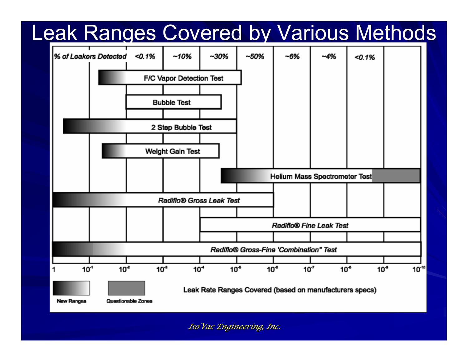## Leak Ranges Covered by Various Methods

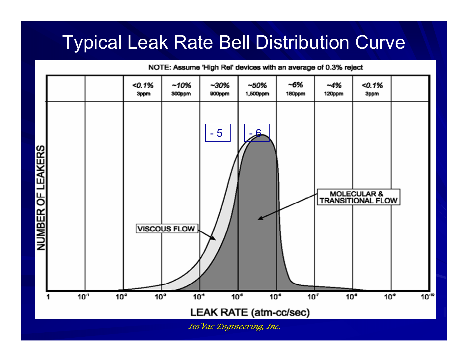## Typical Leak Rate Bell Distribution Curve

 $50.1%$  $-10%$  $-30%$  $-50%$  $-6%$  $-4%$  $50.1%$ 3ppm 300ppm 900ppm 1,500ppm 180ppm 120ppm 3ppm - 5 - 6NUMBER OF LEAKERS **MOLECULAR & TRANSITIONAL FLOW VISCOUS FLOW**  $10^{-1}$  $10<sup>2</sup>$  $10<sup>3</sup>$  $10<sup>4</sup>$  $10<sup>5</sup>$  $10<sup>6</sup>$  $10^{7}$  $10<sup>a</sup>$  $10^{\circ}$  $10^{-10}$ LEAK RATE (atm-cc/sec)

NOTE: Assume 'High Rel' devices with an average of 0.3% reject

*IsoVac Engineering, Inc. IsoVac Engineering, Inc.*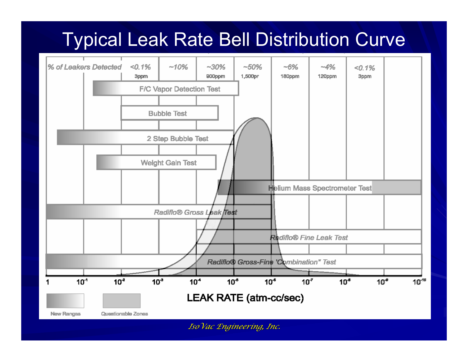## Typical Leak Rate Bell Distribution Curve

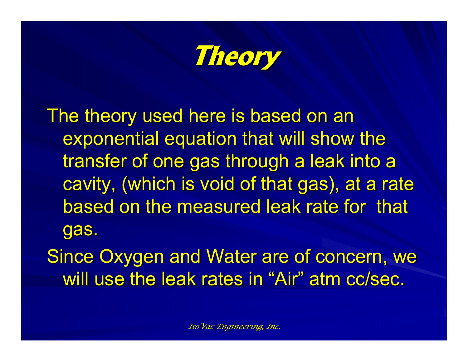**Theory**

The theory used here is based on an exponential equation that will show the transfer of one gas through a leak into a cavity, (which is void of that gas), at a rate based on the measured leak rate for that gas.

Since Oxygen and Water are of concern, we will use the leak rates in "Air" atm cc/sec.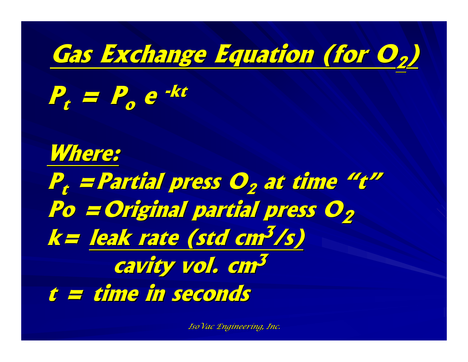

**Pt = Po e -kt**

**Where: Pt =Partial press O =Partial press O2 at time "t" at time "t" Po =Original partial press O Po =Original partial press O2k= leak rate (std cm leak rate (std cm3/s) cavity vol. cm<sup>3</sup> t = time in seconds t = time in seconds**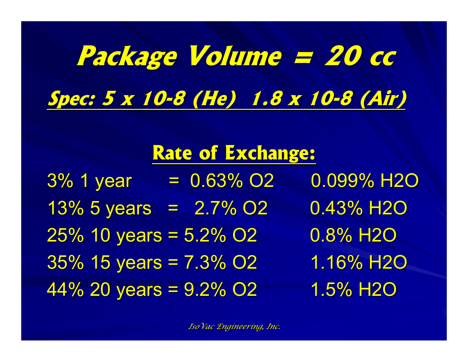# **Package Volume = 20 cc Package Volume = 20 cc Spec: 5 x 10 Spec: 5 x 10-8 (He) 1.8 x 10 8 (He) 1.8 x 10-8 (Air) 8 (Air)**

## **Rate of Exchange: Rate of Exchange:**

 $3\%$  1 year = 0.63% O2 0.099% H2O  $13\%$  5 years = 2.7% O2 0.43% H2O  $25\%$  10 years =  $5.2\%$  O2 0.8% H2O  $35\%$  15 years = 7.3% O2 1.16% H2O 44% 20 years =  $9.2\%$  O2  $1.5\%$  H2O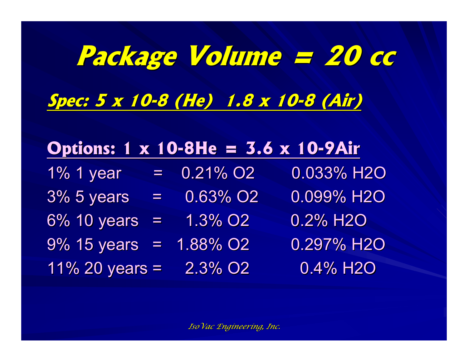# **Package Volume = 20 cc Package Volume = 20 cc Spec: 5 x 10 Spec: 5 x 10-8 (He) 1.8 x 10 8 (He) 1.8 x 10-8 (Air) 8 (Air)**

### **Options: 1 x 10-8He = 3.6 x 10-9Air**

- $1\%$  1 year = 0.21% O2 0.033% H2O
- $3\%$  5 years =  $0.63\%$  O2 0.099% H2O
- 6% 10 years =  $1.3\%$  O2 0.2% H2O
- $9\%$  15 years = 1.88% O2 0.297% H2O
- 11% 20 years =  $2.3\%$  O2 0.4% H2O
- 
-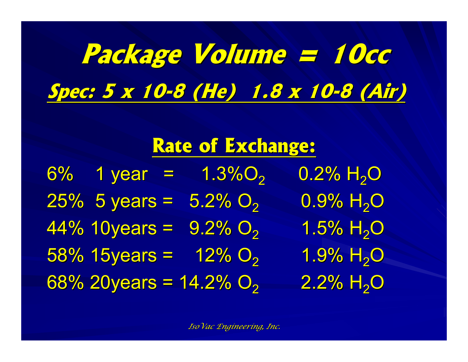# **Package Volume = 10cc Package Volume = 10cc Spec: 5 x 10 Spec: 5 x 10-8 (He) 1.8 x 10 8 (He) 1.8 x 10-8 (Air) 8 (Air)**

## **Rate of Exchange: Rate of Exchange:**

6% 1 year =  $1.3\%$ O<sub>2</sub> 0.2% H<sub>2</sub>O  $25\%$  5 years =  $5.2\%$  O<sub>2</sub>  $0.9\%$  H<sub>2</sub>O 44% 10years =  $9.2\%$  O<sub>2</sub>  $1.5\%$  H<sub>2</sub>O  $58\%$  15years = 12% O<sub>2</sub>  $1.9\%$   $H_{2}O$  $68\%$  20years = 14.2% O<sub>2</sub>  $2.2\%$  H<sub>2</sub>O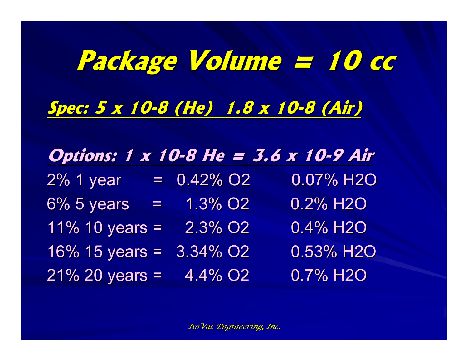# **Package Volume = 10 cc Package Volume = 10 cc Spec: 5 x 10 Spec: 5 x 10-8 (He) 1.8 x 10 8 (He) 1.8 x 10-8 (Air) 8 (Air)**

### **Options:** 1 x 10-8 He = 3.6 x 10-9 Air

| 2% 1 year           | $= 0.42\%$ O2           | 0.07% H <sub>2</sub> O |
|---------------------|-------------------------|------------------------|
| 6% 5 years<br>$=$ . | 1.3% O <sub>2</sub>     | 0.2% H <sub>2</sub> O  |
| 11% 10 years =      | 2.3% O <sub>2</sub>     | $0.4\%$ H2O            |
| $16\%$ 15 years =   | $3.34\%$ O <sub>2</sub> | 0.53% H <sub>2</sub> O |
| $21\%$ 20 years =   | 4.4% O <sub>2</sub>     | 0.7% H <sub>2</sub> O  |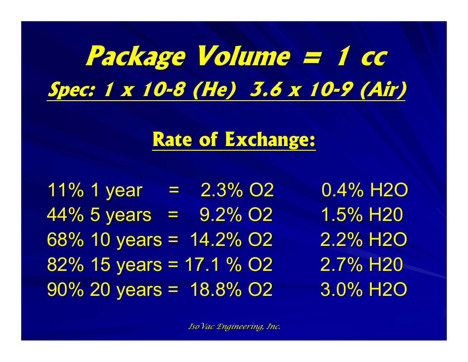# **Package Volume = 1 cc Package Volume = 1 cc Spec: 1 x 10 Spec: 1 x 10-8 (He) 3.6 x 10 8 (He) 3.6 x 10-9 (Air) 9 (Air)**

## **Rate of Exchange: Rate of Exchange:**

 $11\%$  1 year = 2.3% O2 0.4% H2O  $44\%$  5 years =  $9.2\%$  O2 1.5% H20 68% 10 years =  $14.2\%$  O2 2.2% H2O  $82\%$  15 years = 17.1 % O2 2.7% H<sub>20</sub>  $90\%$  20 years = 18.8% O2 3.0% H2O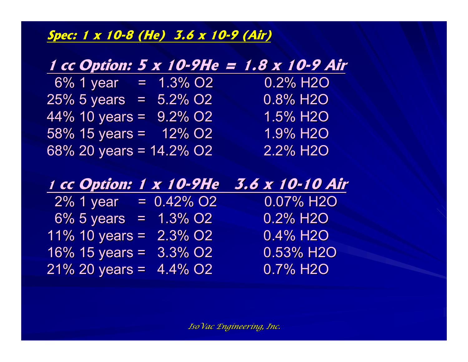**Spec: 1 x 10 Spec: 1 x 10-8 (He) 3.6 x 10 8 (He) 3.6 x 10-9 (Air) 9 (Air)**

#### **1 cc Option: 5 x 10 Option: 5 x 10-9He = 1.8 x 10 9He = 1.8 x 10-9 Air**

| $6\%$ 1 year               | $= 1.3\%$ O2 | 0.2% H <sub>2</sub> O |
|----------------------------|--------------|-----------------------|
| $25\%$ 5 years = 5.2% O2   |              | $0.8\%$ H2O           |
| 44% 10 years = $9.2\%$ O2  |              | 1.5% H2O              |
| 58% 15 years = $12\%$ O2   |              | 1.9% H <sub>2</sub> O |
| 68% 20 years = $14.2\%$ O2 |              | 2.2% H <sub>2</sub> O |

#### **1 cc Option: 1 x 10 cc Option: 1 x 10-9He 3.6 x 10 9He 3.6 x 10-10 Air**

| $2\%$ 1 year              | $= 0.42\%$ O2   | 0.07% H2O                |
|---------------------------|-----------------|--------------------------|
| 6% 5 years = $1.3\%$ O2   |                 | $0.2\%$ H <sub>2</sub> O |
| 11% 10 years =            | <u> 2.3% O2</u> | $0.4\%$ H <sub>2</sub> O |
| $16\%$ 15 years = 3.3% O2 |                 | $0.53\%$ H2O             |
| $21\%$ 20 years = 4.4% O2 |                 | $0.7\%$ H <sub>2</sub> O |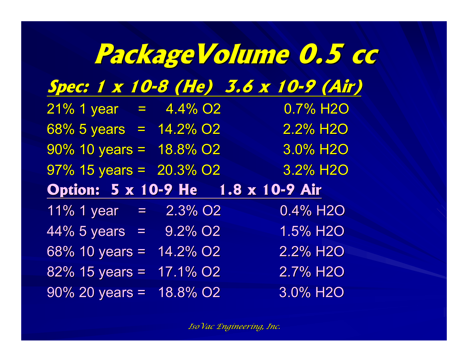|                                                   |                      | Package Volume 0.5 cc                |
|---------------------------------------------------|----------------------|--------------------------------------|
|                                                   |                      | Spec: 1 x 10-8 (He) 3.6 x 10-9 (Air) |
| $21\%$ 1 year = 4.4% O2                           |                      | 0.7% H <sub>2</sub> O                |
| $\frac{68\%}{5 \text{ years}} = \frac{14.2\%}{2}$ |                      | $\overline{2.2\%}$ H <sub>2</sub> O  |
| $90\%$ 10 years = 18.8% O2                        |                      | <b>3.0% H2O</b>                      |
| $97\%$ 15 years = $20.3\%$ O2                     |                      | 3.2% H <sub>2</sub> O                |
| Option: 5 x 10-9 He 1.8 x 10-9 Air                |                      |                                      |
| $11\%$ 1 year = $2.3\%$ O2                        |                      | 0.4% H2O                             |
| $44\% 5 \text{ years} = 9.2\% O2$                 |                      | 1.5% H <sub>2O</sub>                 |
| 68% 10 years = $14.2\%$ O2                        |                      | 2.2% H <sub>2</sub> O                |
| $82\%$ 15 years = 17.1% O2                        |                      | 2.7% H <sub>2</sub> O                |
| $90\%$ 20 years =                                 | 18.8% O <sub>2</sub> | 3.0% H <sub>2</sub> O                |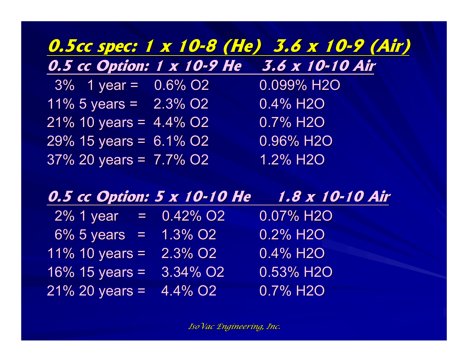#### **0.5cc spec: 1 x 10 0.5cc spec: 1 x 10-8 (He) 3.6 x 10 8 (He) 3.6 x 10-9 (Air) 9 (Air) 0.5 cc Option: 1 x 10-9 He 3.6 x 10-10 Air**

 $3\%$  1 year = 0.6% O2 0.099% H2O 11% 5 years =  $2.3\%$  O2 0.4% H2O 21% 10 years =  $4.4\%$  O2 0.7% H2O 29% 15 years =  $6.1\%$  O2 0.96% H2O  $37\%$  20 years =  $7.7\%$  O2  $1.2\%$  H2O

#### **0.5 cc Op 0.5 cc Option: 5 x 10 tion: 5 x 10-10 He 1.8 x 10 10 He 1.8 x 10-10 Air**

| $2\%$ 1 year = 0.42% O2   |                      | 0.07% H2O               |
|---------------------------|----------------------|-------------------------|
| $6\%$ 5 years =           | $1.3\%$ O2           | 0.2% H <sub>2</sub> O   |
| 11% 10 years =            | <u>2.</u> 3% O2      | 0.4% H <sub>2</sub> O   |
| $16\%$ 15 years =         | 3.34% O <sub>2</sub> | 0.53% H2O               |
| $21\%$ 20 years = 4.4% O2 |                      | $0.7\%$ H <sub>2O</sub> |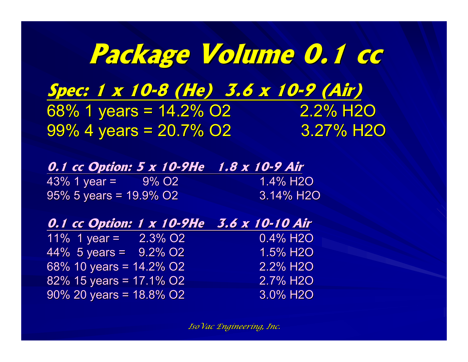# **Package Volume 0.1 cc Package Volume 0.1 cc**

**Spec: 1 x 10 Spec: 1 x 10-8 (He) 3.6 x 10 8 (He) 3.6 x 10-9 (Air) 9 (Air)** 68% 1 years =  $14.2\%$  O2 2.2% H2O 99% 4 years =  $20.7\%$  O2 3.27% H2O

|                        | 0.1 cc Option: 5 x 10-9He 1.8 x 10-9 Air |  |
|------------------------|------------------------------------------|--|
| 43% 1 year = 9% O2     | 1.4% H2O                                 |  |
| 95% 5 years = 19.9% O2 | 3.14% H2O                                |  |

| 0.1 cc Option: 1 x 10-9He 3.6 x 10-10 Air |                     |                       |
|-------------------------------------------|---------------------|-----------------------|
| 11% 1 year =                              | 2.3% O <sub>2</sub> | 0.4% H <sub>2</sub> O |
| $44\%$ 5 years = 9.2% O2                  |                     | 1.5% H <sub>2</sub> O |
| 68% 10 years = $14.2\%$ O2                |                     | 2.2% H <sub>2</sub> O |
| $82\%$ 15 years = 17.1% O2                |                     | 2.7% H2O              |
| $90\%$ 20 years = 18.8% O2                |                     | 3.0% H2O              |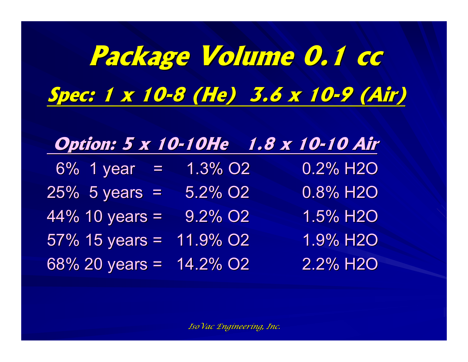# **Package Volume 0.1 cc Package Volume 0.1 cc Spec: 1 x 10 Spec: 1 x 10-8 (He) 3.6 x 10 8 (He) 3.6 x 10-9 (Air) 9 (Air)**

| <b>Option: 5 x 10-10He</b> 1.8 x 10-10 Air |                 |                          |
|--------------------------------------------|-----------------|--------------------------|
| $6\%$ 1 year =                             | <u>1.3% O2/</u> | $0.2\%$ H <sub>2</sub> O |

| $0/0$ 1 you –              | I .U /U UZ             | U.Z 70 I IZU          |  |
|----------------------------|------------------------|-----------------------|--|
| $25\%$ 5 years =           | 5.2% O <sub>2</sub>    | 0.8% H2O              |  |
| $44\%$ 10 years =          | $9.2\%$ O <sub>2</sub> | 1.5% H2O              |  |
| $57\%$ 15 years = 11.9% O2 |                        | 1.9% H2O              |  |
| 68% 20 years = $14.2\%$ O2 |                        | 2.2% H <sub>2</sub> O |  |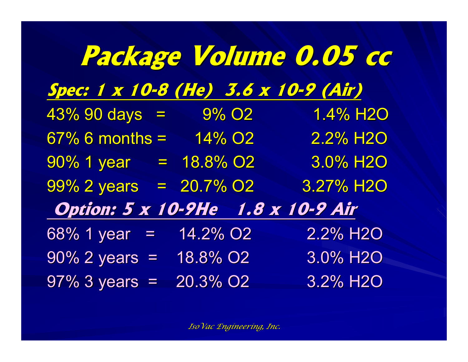|                                      | Package Volume 0.05 cc |                        |
|--------------------------------------|------------------------|------------------------|
| Spec: 1 x 10-8 (He) 3.6 x 10-9 (Air) |                        |                        |
| $43\%$ 90 days = $9\%$ O2            |                        | 1.4% H2O               |
| $67\%$ 6 months = $14\%$ O2          |                        | 2.2% H <sub>2</sub> O  |
| $90\%$ 1 year = 18.8% O2             |                        | 3.0% H <sub>2</sub> O  |
| 99% 2 years = 20.7% O2               |                        | 3.27% H <sub>2</sub> O |
| Option: 5 x 10-9He 1.8 x 10-9 Air    |                        |                        |
| $68\%$ 1 year =                      | 14.2% O <sub>2</sub>   | 2.2% H2O               |
| $90\%$ 2 years =                     | 18.8% O <sub>2</sub>   | 3.0% H2O               |
| $97\%$ 3 years =                     | 20.3% O <sub>2</sub>   | 3.2% H <sub>2O</sub>   |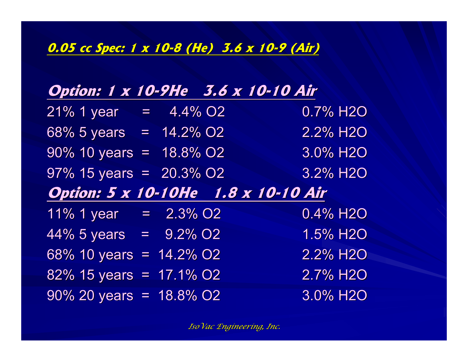#### **0.05 cc Spec: 1 x 10 0.05 cc Spec: 1 x 10-8 (He) 3.6 x 10 8 (He) 3.6 x 10-9 (Air)**

| Option: 1 x 10-9He 3.6 x 10-10 Air                 |  |                       |
|----------------------------------------------------|--|-----------------------|
| $21\%$ 1 year = $4.4\%$ O2                         |  | 0.7% H2O              |
| $\overline{68\%}$ 5 years = $\overline{14.2\%}$ O2 |  | 2.2% H2O              |
| $90\%$ 10 years = 18.8% O2                         |  | 3.0% H2O              |
| $97\%$ 15 years = 20.3% O2                         |  | 3.2% H2O              |
| <b>Option: 5 x 10-10He</b> 1.8 x 10-10 Air         |  |                       |
| 11% 1 year = $2.3\%$ O2                            |  | 0.4% H <sub>2O</sub>  |
| $\frac{44\%}{5 \text{ years}} = 9.2\%$ O2          |  | 1.5% H2O              |
| 68% 10 years = 14.2% O2                            |  | 2.2% H <sub>2</sub> O |
| 82% 15 years = 17.1% O2                            |  | 2.7% H <sub>2O</sub>  |
| $90\%$ 20 years = 18.8% O2                         |  | 3.0% H2O              |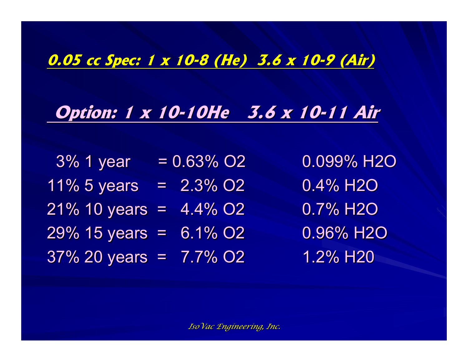#### **0.05 cc Spec: 1 x 10 0.05 cc Spec: 1 x 10-8 (He) 3.6 x 10 8 (He) 3.6 x 10-9 (Air) 9 (Air)**

## **Option: 1 x 10-10He 3.6 x 10-11 Air**

 $3\%$  1 year = 0.63% O2 0.099% H2O  $11\%$  5 years = 2.3% O2 0.4% H2O  $21\%$  10 years = 4.4% O2 0.7% H2O  $29\%$  15 years = 6.1% O2 0.96% H2O  $37\%$  20 years =  $7.7\%$  O2 1.2% H20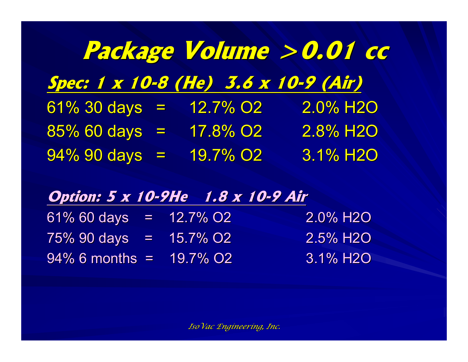|                                      |                      | Package Volume > 0.01 cc |
|--------------------------------------|----------------------|--------------------------|
| Spec: 1 x 10-8 (He) 3.6 x 10-9 (Air) |                      |                          |
| $61\%30 \text{ days} =$              | 12.7% O <sub>2</sub> | 2.0% H <sub>2</sub> O    |
| $85\%$ 60 days =                     | 17.8% O <sub>2</sub> | 2.8% H <sub>2</sub> O    |
| $94\%$ 90 days =                     | 19.7% O <sub>2</sub> | 3.1% H <sub>20</sub>     |

#### **Option: 5 x 10-9He 1.8 x 10-9 Air**

| $61\%$ 60 days = 12.7% O2    |  | 2.0% H2O        |
|------------------------------|--|-----------------|
| $75\%$ 90 days = $15.7\%$ O2 |  | <b>2.5% H2O</b> |
| $94\%$ 6 months = 19.7% O2   |  | <b>3.1% H2O</b> |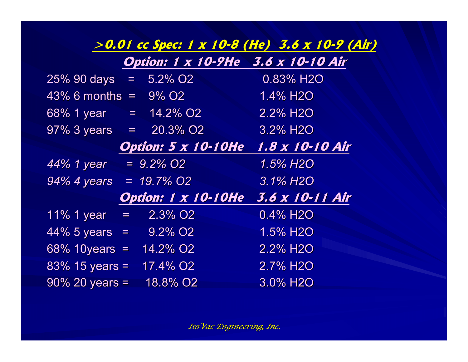#### **>0.01 cc Spec: 1 x 10 >0.01 cc Spec: 1 x 10-8 (He) 3.6 x 10 8 (He) 3.6 x 10-9 (Air) 9 (Air)**

|  | Option: 1 x 10-9He 3.6 x 10-10 Air |
|--|------------------------------------|
|  |                                    |

| 25% 90 days                  | $=$ $-$ | $5.2\%$ $\overline{O2}$    | 0.83% H2O             |
|------------------------------|---------|----------------------------|-----------------------|
| 43% 6 months                 |         | $= 9\% O2$                 | 1.4% H2O              |
| 68% 1 year                   |         | $= 14.2\%$ O2              | 2.2% H <sub>2</sub> O |
| $97\%$ 3 years = $20.3\%$ O2 |         |                            | 3.2% H <sub>2</sub> O |
|                              |         | <b>Option: 5 x 10-10He</b> | 1.8 x 10-10 Air       |
| 44% 1 year                   |         | $= 9.2\%$ O2               | 1.5% H2O              |
| $94\%$ 4 years = 19.7% O2    |         |                            | 3.1% H <sub>2</sub> O |
|                              |         | Option: 1 x 10-10He        | 3.6 x 10-11 Air       |
| $11\%$ 1 year =              |         | 2.3% O <sub>2</sub>        | 0.4% H2O              |
| $44\% 5 \text{ years} =$     |         | $9.2\%$ O2                 | 1.5% H2O              |
| 68% 10 years = $14.2\%$ O2   |         |                            | 2.2% H <sub>2</sub> O |
| $83\%$ 15 years =            |         | 17.4% O <sub>2</sub>       | 2.7% H <sub>2</sub> O |
| $90\%$ 20 years =            |         | 18.8% O <sub>2</sub>       | 3.0% H <sub>2</sub> O |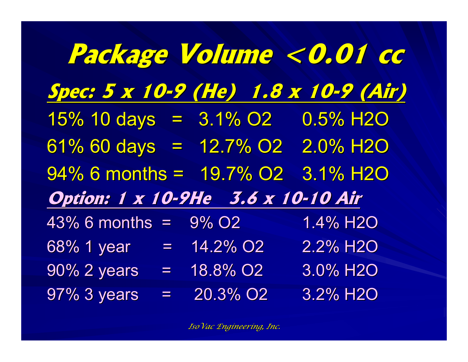|                                       |               | Package Volume < 0.01 cc             |
|---------------------------------------|---------------|--------------------------------------|
|                                       |               | Spec: 5 x 10-9 (He) 1.8 x 10-9 (Air) |
| $15\%$ 10 days = $3.1\%$ 02 0.5% H2O  |               |                                      |
| 61% 60 days = 12.7% 02 2.0% H2O       |               |                                      |
| $94\%$ 6 months = $19.7\%$ O2         |               | 3.1% H <sub>2</sub> O                |
| Option: 1 x 10-9He 3.6 x 10-10 Air    |               |                                      |
| 43% 6 months = 9% O2                  |               | 1.4% H2O                             |
| 68% 1 year = 14.2% O2                 |               | 2.2% H2O                             |
| $90\%$ 2 years = $18.8\%$ O2 3.0% H2O |               |                                      |
| 97% 3 years                           | $= 20.3\%$ O2 | 3.2% H2O                             |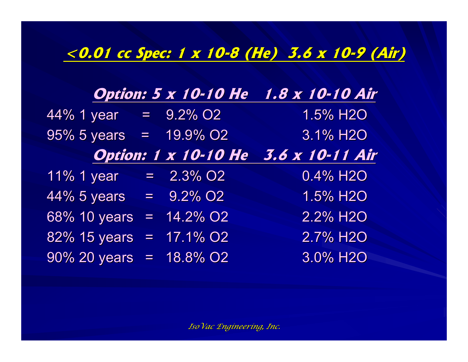#### **<0.01 cc Spec: 1 x 10 <0.01 cc Spec: 1 x 10-8 (He) 3.6 x 10 8 (He) 3.6 x 10-9 (Air) 9 (Air)**

|                                    |                             | <b>Option: 5 x 10-10 He</b> 1.8 x 10-10 Air |
|------------------------------------|-----------------------------|---------------------------------------------|
| $\sqrt{44\% 1}$ year = $9.2\%$ O2  |                             | 1.5% H2O                                    |
| $95\% 5 \text{ years} = 19.9\% O2$ |                             | 3.1% H2O                                    |
|                                    | <b>Option: 1 x 10-10 He</b> | 3.6 x 10-11 Air                             |
| 11% 1 year                         | $= 2.3\%$ O2                | 0.4% H2O                                    |
| $44\% 5 \text{ years} = 9.2\% O2$  |                             | 1.5% H2O                                    |
| 68% 10 years                       | $= 14.2\%$ O2               | 2.2% H2O                                    |
| 82% 15 years                       | $= 17.1\%$ O2               | 2.7% H2O                                    |
| $90\%$ 20 years = 18.8% O2         |                             | 3.0% H2O                                    |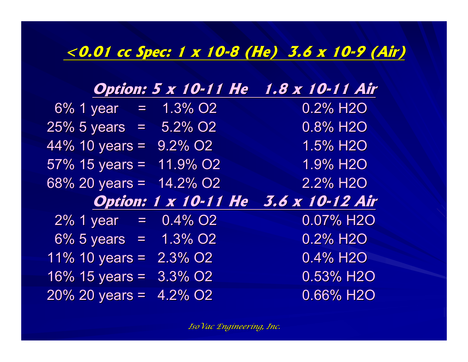#### **<0.01 cc Spec: 1 x 10 <0.01 cc Spec: 1 x 10-8 (He) 3.6 x 10 8 (He) 3.6 x 10-9 (Air) 9 (Air)**

|                               | <b>Option: 5 x 10-11 He</b> | 1.8 x 10-11 Air       |
|-------------------------------|-----------------------------|-----------------------|
| $\sqrt{6\%}$ 1 year = 1.3% O2 |                             | 0.2% H <sub>2</sub> O |
| $25\%$ 5 years = $5.2\%$ O2   |                             | 0.8% H2O              |
| $44\%$ 10 years = $9.2\%$ O2  |                             | 1.5% H2O              |
| $57\%$ 15 years = 11.9% O2    |                             | 1.9% H2O              |
| $68\%$ 20 years =             | 14.2% O <sub>2</sub>        | 2.2% H <sub>2</sub> O |
|                               |                             |                       |
|                               | <b>Option: 1 x 10-11 He</b> | 3.6 x 10-12 Air       |
| $2\%$ 1 year = $0.4\%$ O2     |                             | 0.07% H2O             |
| $6\% 5 \text{ years} =$       | $1.3\%$ O2                  | 0.2% H <sub>2O</sub>  |
| $11\%$ 10 years = $2.3\%$ O2  |                             | 0.4% H2O              |
| $16\%$ 15 years = 3.3% O2     |                             | 0.53% H2O             |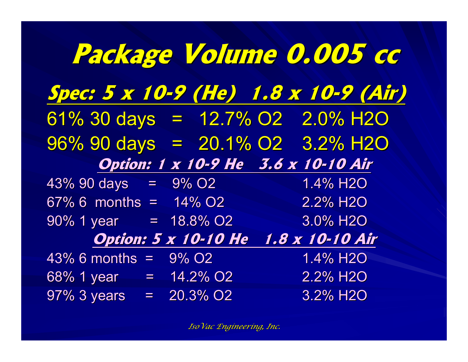|                                                               | Package Volume 0.005 cc                     |                          |  |
|---------------------------------------------------------------|---------------------------------------------|--------------------------|--|
| Spec: 5 x 10-9 (He) 1.8 x 10-9 (Air)                          |                                             |                          |  |
| 61% $30 \text{ days} = 12.7\% \text{ O2} = 2.0\% \text{ H2O}$ |                                             |                          |  |
| $96\%$ 90 days = 20.1% O2 3.2% H2O                            |                                             |                          |  |
|                                                               | Option: 1 x 10-9 He 3.6 x 10-10 Air         |                          |  |
| $43\%$ 90 days = $9\%$ O2                                     |                                             | 1.4% H2O                 |  |
| $67\%$ 6 months = $14\%$ O2                                   |                                             | 2.2% H2O                 |  |
| $90\%$ 1 year = 18.8% O2                                      |                                             | 3.0% H <sub>2</sub> O    |  |
|                                                               | <b>Option: 5 x 10-10 He</b> 1.8 x 10-10 Air |                          |  |
| $43\%$ 6 months = $9\%$ O2                                    |                                             | $1.4\%$ H2O              |  |
| $\overline{68\%}$ 1 year = 14.2% O2                           |                                             | $2.2\%$ H2O              |  |
| $97\%$ 3 years = $20.3\%$ O2                                  |                                             | $3.2\%$ H <sub>2</sub> O |  |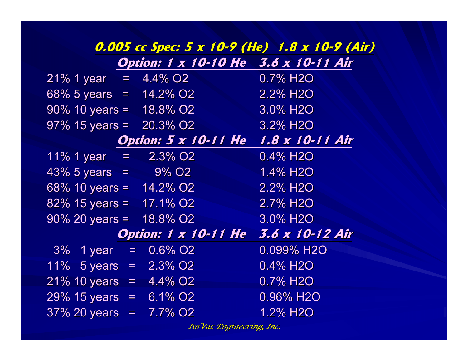|                                 |                                       | 0.005 cc Spec: 5 x 10-9 (He) 1.8 x 10-9 (Air) |
|---------------------------------|---------------------------------------|-----------------------------------------------|
|                                 | Option: 1 x 10-10 He 3.6 x 10-11 Air  |                                               |
| $21\%$ 1 year = 4.4% O2         |                                       | $0.7\%$ H <sub>2O</sub>                       |
|                                 | $68\%$ 5 years = $14.2\%$ O2 2.2% H2O |                                               |
| $90\%$ 10 years = 18.8% O2      |                                       | 3.0% H <sub>2</sub> O                         |
| $97\%$ 15 years = 20.3% O2      |                                       | 3.2% H <sub>2</sub> O                         |
|                                 | Option: 5 x 10-11 He 1.8 x 10-11 Air  |                                               |
| $11\%$ 1 year = 2.3% O2         |                                       | 0.4% H <sub>2</sub> O                         |
| $43\% 5 \text{ years} = 9\% 02$ |                                       | $1.4\%$ H2O                                   |
| 68% 10 years = $14.2\%$ O2      |                                       | 2.2% H <sub>2</sub> O                         |
| 82% 15 years = $17.1\%$ O2      |                                       | 2.7% H2O                                      |
| $90\%$ 20 years = 18.8% O2      |                                       | 3.0% H <sub>2</sub> O                         |
|                                 | <b>Option: 1 x 10-11 He</b>           | 3.6 x 10-12 Air                               |
| $3\%$ 1 year = $0.6\%$ O2       |                                       | 0.099% H <sub>2</sub> O                       |
| 11% 5 years = $2.3\%$ O2        |                                       | $0.4\%$ H <sub>2</sub> O                      |
| $21\%$ 10 years = 4.4% O2       |                                       | 0.7% H <sub>2</sub> O                         |
| $29\%$ 15 years = 6.1\% O2      |                                       | $0.96\%$ H2O                                  |
| $37\%$ 20 years = 7.7% O2       |                                       | 1.2% H <sub>2</sub> O                         |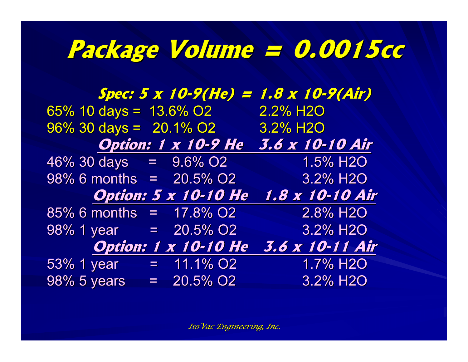# **Package Volume = 0.0015cc Package Volume = 0.0015cc**

**Spec: 5 x 10 Spec: 5 x 10-9(He) = 1.8 x 10 9(He) = 1.8 x 10-9(Air)** 65% 10 days =  $13.6\%$  O2 2.2% H2O  $96\%$  30 days = 20.1% O2 3.2% H2O **Option: 1 x 10-9 He 3.6 x 10-10 Air**  $46\%$  30 days =  $9.6\%$  O2 1.5% H2O 98% 6 months =  $20.5\%$  O2 3.2% H2O **Option: 5 x 10 Option: 5 x 10-10 He 1.8 x 10 10 He 1.8 x 10-10 Air**  $85\%$  6 months = 17.8% O2 2.8% H2O  $98\%$  1 year = 20.5% O2 3.2% H2O **Option: 1 x 10 Option: 1 x 10-10 He 3.6 x 10 10 He 3.6 x 10-11 Air** 53% 1 year =  $11.1\%$  O2 1.7% H2O  $98\% 5 \text{ years}$  = 20.5% O2 3.2% H2O